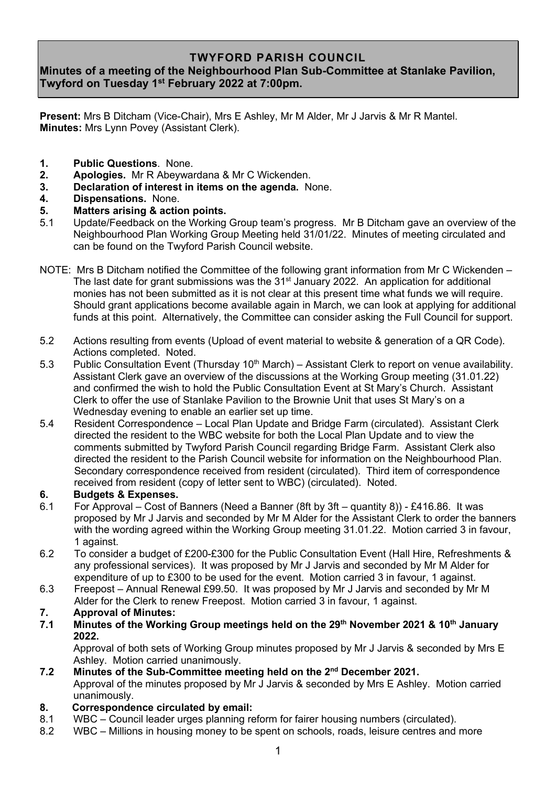# **TWYFORD PARISH COUNCIL**

# **Minutes of a meeting of the Neighbourhood Plan Sub-Committee at Stanlake Pavilion, Twyford on Tuesday 1 st February 2022 at 7:00pm.**

**Present:** Mrs B Ditcham (Vice-Chair), Mrs E Ashley, Mr M Alder, Mr J Jarvis & Mr R Mantel. **Minutes:** Mrs Lynn Povey (Assistant Clerk).

- **1. Public Questions**. None.
- **2. Apologies.** Mr R Abeywardana & Mr C Wickenden.
- **3. Declaration of interest in items on the agenda.** None.
- **4. Dispensations.** None.
- **5. Matters arising & action points.**
- 5.1 Update/Feedback on the Working Group team's progress. Mr B Ditcham gave an overview of the Neighbourhood Plan Working Group Meeting held 31/01/22. Minutes of meeting circulated and can be found on the Twyford Parish Council website.
- NOTE: Mrs B Ditcham notified the Committee of the following grant information from Mr C Wickenden The last date for grant submissions was the 31<sup>st</sup> January 2022. An application for additional monies has not been submitted as it is not clear at this present time what funds we will require. Should grant applications become available again in March, we can look at applying for additional funds at this point. Alternatively, the Committee can consider asking the Full Council for support.
- 5.2 Actions resulting from events (Upload of event material to website & generation of a QR Code). Actions completed. Noted.
- 5.3 Public Consultation Event (Thursday 10<sup>th</sup> March) Assistant Clerk to report on venue availability. Assistant Clerk gave an overview of the discussions at the Working Group meeting (31.01.22) and confirmed the wish to hold the Public Consultation Event at St Mary's Church. Assistant Clerk to offer the use of Stanlake Pavilion to the Brownie Unit that uses St Mary's on a Wednesday evening to enable an earlier set up time.
- 5.4 Resident Correspondence Local Plan Update and Bridge Farm (circulated). Assistant Clerk directed the resident to the WBC website for both the Local Plan Update and to view the comments submitted by Twyford Parish Council regarding Bridge Farm. Assistant Clerk also directed the resident to the Parish Council website for information on the Neighbourhood Plan. Secondary correspondence received from resident (circulated). Third item of correspondence received from resident (copy of letter sent to WBC) (circulated). Noted.

## **6. Budgets & Expenses.**

- 6.1 For Approval Cost of Banners (Need a Banner (8ft by 3ft quantity 8)) £416.86. It was proposed by Mr J Jarvis and seconded by Mr M Alder for the Assistant Clerk to order the banners with the wording agreed within the Working Group meeting 31.01.22. Motion carried 3 in favour, 1 against.
- 6.2 To consider a budget of £200-£300 for the Public Consultation Event (Hall Hire, Refreshments & any professional services). It was proposed by Mr J Jarvis and seconded by Mr M Alder for expenditure of up to £300 to be used for the event. Motion carried 3 in favour, 1 against.
- 6.3 Freepost Annual Renewal £99.50. It was proposed by Mr J Jarvis and seconded by Mr M Alder for the Clerk to renew Freepost. Motion carried 3 in favour, 1 against.

# **7. Approval of Minutes:**

**7.1 Minutes of the Working Group meetings held on the 29th November 2021 & 10th January 2022.**

Approval of both sets of Working Group minutes proposed by Mr J Jarvis & seconded by Mrs E Ashley. Motion carried unanimously.

#### **7.2 Minutes of the Sub-Committee meeting held on the 2 nd December 2021.** Approval of the minutes proposed by Mr J Jarvis & seconded by Mrs E Ashley. Motion carried unanimously.

#### **8. Correspondence circulated by email:**

- 8.1 WBC Council leader urges planning reform for fairer housing numbers (circulated).<br>8.2 WBC Millions in housing money to be spent on schools, roads, leisure centres and
- WBC Millions in housing money to be spent on schools, roads, leisure centres and more